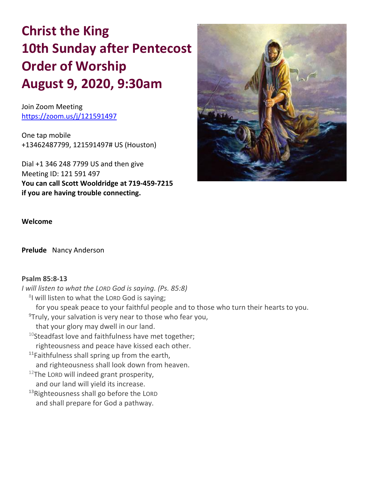# **Christ the King 10th Sunday after Pentecost Order of Worship August 9, 2020, 9:30am**

Join Zoom Meeting https://zoom.us/j/121591497

One tap mobile +13462487799, 121591497# US (Houston)

Dial +1 346 248 7799 US and then give Meeting ID: 121 591 497 **You can call Scott Wooldridge at 719-459-7215 if you are having trouble connecting.**



## **Welcome**

## **Prelude** Nancy Anderson

## **Psalm 85:8-13**

*I will listen to what the LORD God is saying. (Ps. 85:8)*

<sup>8</sup>I will listen to what the LORD God is saying;

- for you speak peace to your faithful people and to those who turn their hearts to you.
- **<sup>9</sup>**Truly, your salvation is very near to those who fear you,

that your glory may dwell in our land.

- $10$ Steadfast love and faithfulness have met together; righteousness and peace have kissed each other.
- **<sup>11</sup>**Faithfulness shall spring up from the earth, and righteousness shall look down from heaven.
- $12$ The LORD will indeed grant prosperity, and our land will yield its increase.
- **<sup>13</sup>**Righteousness shall go before the LORD and shall prepare for God a pathway.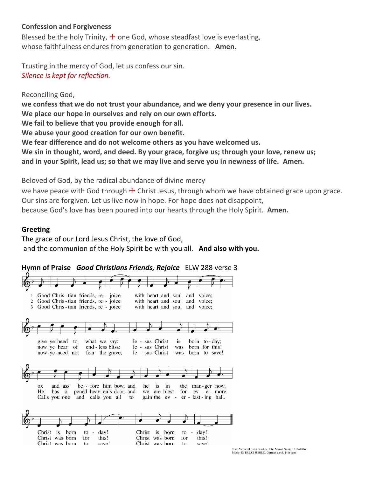# **Confession and Forgiveness**

Blessed be the holy Trinity,  $\pm$  one God, whose steadfast love is everlasting, whose faithfulness endures from generation to generation. **Amen.**

Trusting in the mercy of God, let us confess our sin. *Silence is kept for reflection.*

Reconciling God,

**we confess that we do not trust your abundance, and we deny your presence in our lives.**

**We place our hope in ourselves and rely on our own efforts.**

**We fail to believe that you provide enough for all.**

**We abuse your good creation for our own benefit.**

**We fear difference and do not welcome others as you have welcomed us.**

**We sin in thought, word, and deed. By your grace, forgive us; through your love, renew us; and in your Spirit, lead us; so that we may live and serve you in newness of life. Amen.**

Beloved of God, by the radical abundance of divine mercy

we have peace with God through  $\pm$  Christ Jesus, through whom we have obtained grace upon grace. Our sins are forgiven. Let us live now in hope. For hope does not disappoint, because God's love has been poured into our hearts through the Holy Spirit. **Amen.**

## **Greeting**

The grace of our Lord Jesus Christ, the love of God, and the communion of the Holy Spirit be with you all. **And also with you.**





Text: Medieval Latin carol; tr. John Mason Neale, 1818-1866 Music: IN DULCI JUBILO, German carol. 14th cent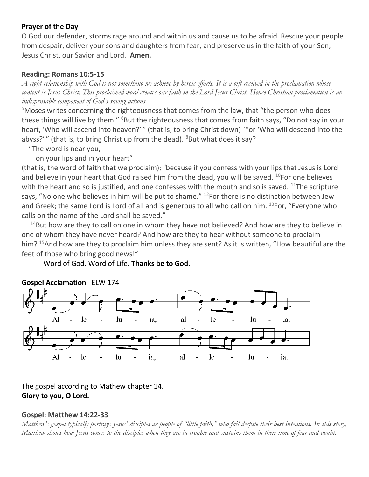# **Prayer of the Day**

O God our defender, storms rage around and within us and cause us to be afraid. Rescue your people from despair, deliver your sons and daughters from fear, and preserve us in the faith of your Son, Jesus Christ, our Savior and Lord. **Amen.**

## **Reading: Romans 10:5-15**

*A right relationship with God is not something we achieve by heroic efforts. It is a gift received in the proclamation whose content is Jesus Christ. This proclaimed word creates our faith in the Lord Jesus Christ. Hence Christian proclamation is an indispensable component of God's saving actions.*

<sup>5</sup>Moses writes concerning the righteousness that comes from the law, that "the person who does these things will live by them." <sup>6</sup>But the righteousness that comes from faith says, "Do not say in your heart, 'Who will ascend into heaven?' " (that is, to bring Christ down) <sup>7</sup> "or 'Who will descend into the abyss?'" (that is, to bring Christ up from the dead). <sup>8</sup>But what does it say?

"The word is near you,

on your lips and in your heart"

(that is, the word of faith that we proclaim); <sup>9</sup>because if you confess with your lips that Jesus is Lord and believe in your heart that God raised him from the dead, you will be saved. <sup>10</sup>For one believes with the heart and so is justified, and one confesses with the mouth and so is saved.  $11$ The scripture says, "No one who believes in him will be put to shame."  $^{12}$  For there is no distinction between Jew and Greek; the same Lord is Lord of all and is generous to all who call on him.  $^{13}$ For, "Everyone who calls on the name of the Lord shall be saved."

 $14$ But how are they to call on one in whom they have not believed? And how are they to believe in one of whom they have never heard? And how are they to hear without someone to proclaim him? <sup>15</sup>And how are they to proclaim him unless they are sent? As it is written, "How beautiful are the feet of those who bring good news!"

Word of God. Word of Life. **Thanks be to God.**



The gospel according to Mathew chapter 14. **Glory to you, O Lord.**

## **Gospel: Matthew 14:22-33**

*Matthew's gospel typically portrays Jesus' disciples as people of "little faith," who fail despite their best intentions. In this story, Matthew shows how Jesus comes to the disciples when they are in trouble and sustains them in their time of fear and doubt.*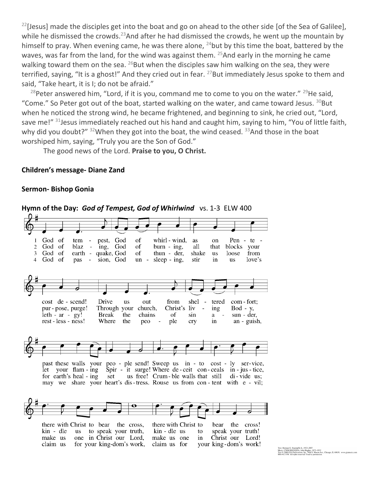<sup>22</sup>[Jesus] made the disciples get into the boat and go on ahead to the other side [of the Sea of Galilee], while he dismissed the crowds.<sup>23</sup>And after he had dismissed the crowds, he went up the mountain by himself to pray. When evening came, he was there alone, <sup>24</sup>but by this time the boat, battered by the waves, was far from the land, for the wind was against them.  $25$  And early in the morning he came walking toward them on the sea.  $^{26}$ But when the disciples saw him walking on the sea, they were terrified, saying, "It is a ghost!" And they cried out in fear.  $^{27}$ But immediately Jesus spoke to them and said, "Take heart, it is I; do not be afraid."

<sup>28</sup>Peter answered him, "Lord, if it is you, command me to come to you on the water." <sup>29</sup>He said, "Come." So Peter got out of the boat, started walking on the water, and came toward Jesus.  $30$ But when he noticed the strong wind, he became frightened, and beginning to sink, he cried out, "Lord, save me!" <sup>31</sup> Jesus immediately reached out his hand and caught him, saying to him, "You of little faith, why did you doubt?"  $32$ When they got into the boat, the wind ceased.  $33$ And those in the boat worshiped him, saying, "Truly you are the Son of God."

The good news of the Lord. **Praise to you, O Christ.**

#### **Children's message- Diane Zand**

#### **Sermon- Bishop Gonia**



**Hymn of the Day:** *God of Tempest, God of Whirlwind* vs. 1-3ELW 400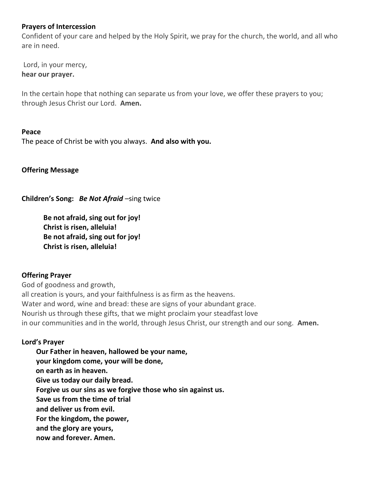# **Prayers of Intercession**

Confident of your care and helped by the Holy Spirit, we pray for the church, the world, and all who are in need.

Lord, in your mercy, **hear our prayer.**

In the certain hope that nothing can separate us from your love, we offer these prayers to you; through Jesus Christ our Lord. **Amen.**

### **Peace**

The peace of Christ be with you always. **And also with you.**

**Offering Message**

**Children's Song:** *Be Not Afraid* –sing twice

**Be not afraid, sing out for joy! Christ is risen, alleluia! Be not afraid, sing out for joy! Christ is risen, alleluia!**

# **Offering Prayer**

God of goodness and growth, all creation is yours, and your faithfulness is as firm as the heavens. Water and word, wine and bread: these are signs of your abundant grace. Nourish us through these gifts, that we might proclaim your steadfast love in our communities and in the world, through Jesus Christ, our strength and our song. **Amen.**

# **Lord's Prayer**

**Our Father in heaven, hallowed be your name, your kingdom come, your will be done, on earth as in heaven. Give us today our daily bread. Forgive us our sins as we forgive those who sin against us. Save us from the time of trial and deliver us from evil. For the kingdom, the power, and the glory are yours, now and forever. Amen.**